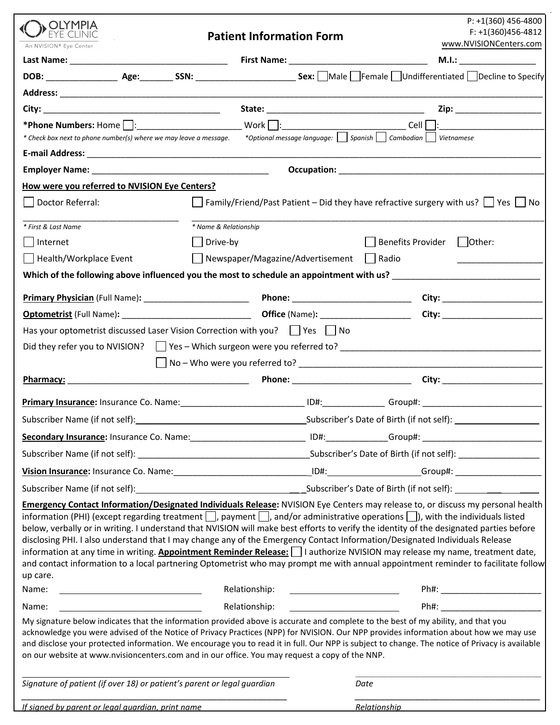| A OLYMPIA                                                               |                                                                                                                                                                                                                                     | $P: +1(360)$ 456-4800                                                                                                                                                                                                                                                                                                                                                                                                                                                                                                                                            |  |  |
|-------------------------------------------------------------------------|-------------------------------------------------------------------------------------------------------------------------------------------------------------------------------------------------------------------------------------|------------------------------------------------------------------------------------------------------------------------------------------------------------------------------------------------------------------------------------------------------------------------------------------------------------------------------------------------------------------------------------------------------------------------------------------------------------------------------------------------------------------------------------------------------------------|--|--|
| An NVISION® Eye Center                                                  | <b>Patient Information Form</b>                                                                                                                                                                                                     | $F: +1(360)456-4812$<br>www.NVISIONCenters.com                                                                                                                                                                                                                                                                                                                                                                                                                                                                                                                   |  |  |
|                                                                         |                                                                                                                                                                                                                                     | M.I.:                                                                                                                                                                                                                                                                                                                                                                                                                                                                                                                                                            |  |  |
|                                                                         |                                                                                                                                                                                                                                     |                                                                                                                                                                                                                                                                                                                                                                                                                                                                                                                                                                  |  |  |
|                                                                         |                                                                                                                                                                                                                                     |                                                                                                                                                                                                                                                                                                                                                                                                                                                                                                                                                                  |  |  |
|                                                                         |                                                                                                                                                                                                                                     |                                                                                                                                                                                                                                                                                                                                                                                                                                                                                                                                                                  |  |  |
|                                                                         | Work <u>: _________________________________</u>                                                                                                                                                                                     | Cell                                                                                                                                                                                                                                                                                                                                                                                                                                                                                                                                                             |  |  |
| * Check box next to phone number(s) where we may leave a message.       | *Optional message language:     Spanish   Cambodian                                                                                                                                                                                 | Vietnamese                                                                                                                                                                                                                                                                                                                                                                                                                                                                                                                                                       |  |  |
|                                                                         |                                                                                                                                                                                                                                     |                                                                                                                                                                                                                                                                                                                                                                                                                                                                                                                                                                  |  |  |
|                                                                         |                                                                                                                                                                                                                                     |                                                                                                                                                                                                                                                                                                                                                                                                                                                                                                                                                                  |  |  |
| How were you referred to NVISION Eye Centers?                           |                                                                                                                                                                                                                                     |                                                                                                                                                                                                                                                                                                                                                                                                                                                                                                                                                                  |  |  |
| Doctor Referral:                                                        |                                                                                                                                                                                                                                     | $\Box$ Family/Friend/Past Patient – Did they have refractive surgery with us? $\Box$ Yes $\Box$ No                                                                                                                                                                                                                                                                                                                                                                                                                                                               |  |  |
| * First & Last Name                                                     | * Name & Relationship                                                                                                                                                                                                               |                                                                                                                                                                                                                                                                                                                                                                                                                                                                                                                                                                  |  |  |
| Internet                                                                | Drive-by                                                                                                                                                                                                                            | <b>Benefits Provider</b><br>  Other:                                                                                                                                                                                                                                                                                                                                                                                                                                                                                                                             |  |  |
| Health/Workplace Event                                                  | △ Newspaper/Magazine/Advertisement △ Badio                                                                                                                                                                                          |                                                                                                                                                                                                                                                                                                                                                                                                                                                                                                                                                                  |  |  |
|                                                                         |                                                                                                                                                                                                                                     | Which of the following above influenced you the most to schedule an appointment with us? ________________________                                                                                                                                                                                                                                                                                                                                                                                                                                                |  |  |
|                                                                         |                                                                                                                                                                                                                                     |                                                                                                                                                                                                                                                                                                                                                                                                                                                                                                                                                                  |  |  |
|                                                                         |                                                                                                                                                                                                                                     |                                                                                                                                                                                                                                                                                                                                                                                                                                                                                                                                                                  |  |  |
|                                                                         | Has your optometrist discussed Laser Vision Correction with you? $\vert$   Yes     No                                                                                                                                               |                                                                                                                                                                                                                                                                                                                                                                                                                                                                                                                                                                  |  |  |
|                                                                         |                                                                                                                                                                                                                                     |                                                                                                                                                                                                                                                                                                                                                                                                                                                                                                                                                                  |  |  |
|                                                                         |                                                                                                                                                                                                                                     |                                                                                                                                                                                                                                                                                                                                                                                                                                                                                                                                                                  |  |  |
| Pharmacy:                                                               |                                                                                                                                                                                                                                     |                                                                                                                                                                                                                                                                                                                                                                                                                                                                                                                                                                  |  |  |
|                                                                         |                                                                                                                                                                                                                                     |                                                                                                                                                                                                                                                                                                                                                                                                                                                                                                                                                                  |  |  |
| Subscriber Name (if not self):                                          |                                                                                                                                                                                                                                     | Subscriber's Date of Birth (if not self):                                                                                                                                                                                                                                                                                                                                                                                                                                                                                                                        |  |  |
|                                                                         |                                                                                                                                                                                                                                     | Secondary Insurance: Insurance Co. Name: 1990 1991 1992 1994: Company Computer Computer Computer Computer Compu                                                                                                                                                                                                                                                                                                                                                                                                                                                  |  |  |
|                                                                         |                                                                                                                                                                                                                                     |                                                                                                                                                                                                                                                                                                                                                                                                                                                                                                                                                                  |  |  |
|                                                                         |                                                                                                                                                                                                                                     | Vision Insurance: Insurance Co. Name: 1990 1990 1991 1994: 1994: Computer Schoup#: 2004: 2009: 2009: 2009: 2009: 2009: 2009: 2009: 2009: 2009: 2009: 2009: 2009: 2009: 2009: 2009: 2009: 2009: 2009: 2009: 2009: 2009: 2009: 2                                                                                                                                                                                                                                                                                                                                   |  |  |
|                                                                         |                                                                                                                                                                                                                                     |                                                                                                                                                                                                                                                                                                                                                                                                                                                                                                                                                                  |  |  |
|                                                                         |                                                                                                                                                                                                                                     | Emergency Contact Information/Designated Individuals Release: NVISION Eye Centers may release to, or discuss my personal health                                                                                                                                                                                                                                                                                                                                                                                                                                  |  |  |
| up care.                                                                | disclosing PHI. I also understand that I may change any of the Emergency Contact Information/Designated Individuals Release                                                                                                         | information (PHI) (except regarding treatment $\Box$ , payment $\Box$ , and/or administrative operations $\Box$ ), with the individuals listed<br>below, verbally or in writing. I understand that NVISION will make best efforts to verify the identity of the designated parties before<br>information at any time in writing. Appointment Reminder Release:       authorize NVISION may release my name, treatment date,<br>and contact information to a local partnering Optometrist who may prompt me with annual appointment reminder to facilitate follow |  |  |
| Name:                                                                   | Relationship:                                                                                                                                                                                                                       | Ph#: _____________________________                                                                                                                                                                                                                                                                                                                                                                                                                                                                                                                               |  |  |
| Name:                                                                   | Relationship:                                                                                                                                                                                                                       | Ph#: www.common.com/                                                                                                                                                                                                                                                                                                                                                                                                                                                                                                                                             |  |  |
|                                                                         | My signature below indicates that the information provided above is accurate and complete to the best of my ability, and that you<br>on our website at www.nvisioncenters.com and in our office. You may request a copy of the NNP. | acknowledge you were advised of the Notice of Privacy Practices (NPP) for NVISION. Our NPP provides information about how we may use<br>and disclose your protected information. We encourage you to read it in full. Our NPP is subject to change. The notice of Privacy is available                                                                                                                                                                                                                                                                           |  |  |
| Signature of patient (if over 18) or patient's parent or legal guardian |                                                                                                                                                                                                                                     | Date                                                                                                                                                                                                                                                                                                                                                                                                                                                                                                                                                             |  |  |
| If signed by parent or legal quardian, print name                       |                                                                                                                                                                                                                                     | Relationship<br>and the contract of the contract of the contract of the contract of the contract of the contract of the contract of the contract of the contract of the contract of the contract of the contract of the contract                                                                                                                                                                                                                                                                                                                                 |  |  |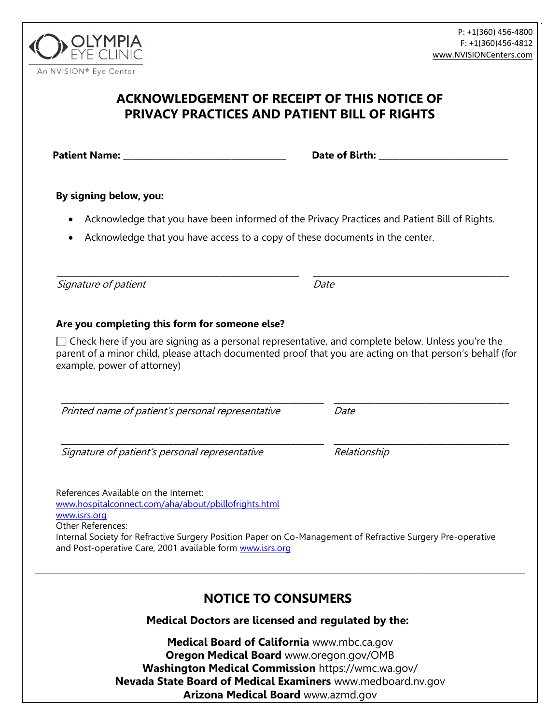[www.NVISIONCenters.com](http://www.nvisioncenters.com/) P: +1(360) 456-4800 F: +1(360)456-4812

## **ACKNOWLEDGEMENT OF RECEIPT OF THIS NOTICE OF PRIVACY PRACTICES AND PATIENT BILL OF RIGHTS**

**Patient Name:**  $\qquad \qquad$  **Date of Birth:**  $\qquad \qquad$ 

## **By signing below, you:**

- Acknowledge that you have been informed of the Privacy Practices and Patient Bill of Rights.
- Acknowledge that you have access to a copy of these documents in the center.

\_\_\_\_\_\_\_\_\_\_\_\_\_\_\_\_\_\_\_\_\_\_\_\_\_\_\_\_\_\_\_\_\_\_\_\_\_\_\_\_\_\_\_\_\_\_\_\_\_\_\_\_\_\_\_\_\_\_ Signature of patient

## **Are you completing this form for someone else?**

 $\Box$  Check here if you are signing as a personal representative, and complete below. Unless you're the parent of a minor child, please attach documented proof that you are acting on that person's behalf (for example, power of attorney)

\_\_\_\_\_\_\_\_\_\_\_\_\_\_\_\_\_\_\_\_\_\_\_\_\_\_\_\_\_\_\_\_\_\_\_\_\_\_\_\_\_\_\_\_\_\_\_\_\_\_\_\_\_\_\_\_\_\_\_\_\_\_\_ Printed name of patient's personal representative

\_\_\_\_\_\_\_\_\_\_\_\_\_\_\_\_\_\_\_\_\_\_\_\_\_\_\_\_\_\_\_\_\_\_\_\_\_\_\_\_\_\_\_\_\_\_\_\_\_\_\_\_\_\_\_\_\_\_\_\_\_\_\_

Signature of patient's personal representative

References Available on the Internet: [www.hospitalconnect.com/aha/about/pbillofrights.html](http://www.hospitalconnect.com/aha/about/pbillofrights.html) [www.isrs.org](http://www.isrs.org/) Other References: Internal Society for Refractive Surgery Position Paper on Co-Management of Refractive Surgery Pre-operative and Post-operative Care, 2001 available form [www.isrs.org](http://www.isrs.org/)

# **NOTICE TO CONSUMERS**

\_\_\_\_\_\_\_\_\_\_\_\_\_\_\_\_\_\_\_\_\_\_\_\_\_\_\_\_\_\_\_\_\_\_\_\_\_\_\_\_\_\_\_\_\_\_\_\_\_\_\_\_\_\_\_\_\_\_\_\_\_\_\_\_\_\_\_\_\_\_\_\_\_\_\_\_\_\_\_\_\_\_\_\_\_\_\_\_\_\_\_\_\_\_\_\_\_\_\_\_\_\_\_\_\_\_\_\_\_\_\_\_\_\_\_\_\_\_\_\_\_\_\_\_\_\_\_\_\_

**Medical Doctors are licensed and regulated by the:** 

**Medical Board of California** www.mbc.ca.gov **Oregon Medical Board** www.oregon.gov/OMB **Washington Medical Commission** https://wmc.wa.gov/ **Nevada State Board of Medical Examiners** www.medboard.nv.gov **Arizona Medical Board** www.azmd.gov



**\_\_\_\_\_\_\_\_\_\_\_\_\_\_\_\_\_\_\_\_\_\_\_\_\_\_\_\_\_\_\_\_\_\_\_\_\_\_\_\_\_\_** Date

Date

Relationship

**\_\_\_\_\_\_\_\_\_\_\_\_\_\_\_\_\_\_\_\_\_\_\_\_\_\_\_\_\_\_\_\_\_\_\_\_\_\_\_\_\_\_\_\_\_\_\_**

**\_\_\_\_\_\_\_\_\_\_\_\_\_\_\_\_\_\_\_\_\_\_\_\_\_\_\_\_\_\_\_\_\_\_\_\_\_\_\_\_\_\_**